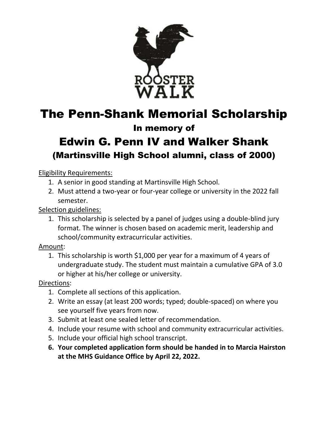

## The Penn-Shank Memorial Scholarship

### In memory of

## Edwin G. Penn IV and Walker Shank (Martinsville High School alumni, class of 2000)

#### Eligibility Requirements:

- 1. A senior in good standing at Martinsville High School.
- 2. Must attend a two-year or four-year college or university in the 2022 fall semester.

Selection guidelines:

1. This scholarship is selected by a panel of judges using a double-blind jury format. The winner is chosen based on academic merit, leadership and school/community extracurricular activities.

Amount:

1. This scholarship is worth \$1,000 per year for a maximum of 4 years of undergraduate study. The student must maintain a cumulative GPA of 3.0 or higher at his/her college or university.

Directions:

- 1. Complete all sections of this application.
- 2. Write an essay (at least 200 words; typed; double-spaced) on where you see yourself five years from now.
- 3. Submit at least one sealed letter of recommendation.
- 4. Include your resume with school and community extracurricular activities.
- 5. Include your official high school transcript.
- **6. Your completed application form should be handed in to Marcia Hairston at the MHS Guidance Office by April 22, 2022.**